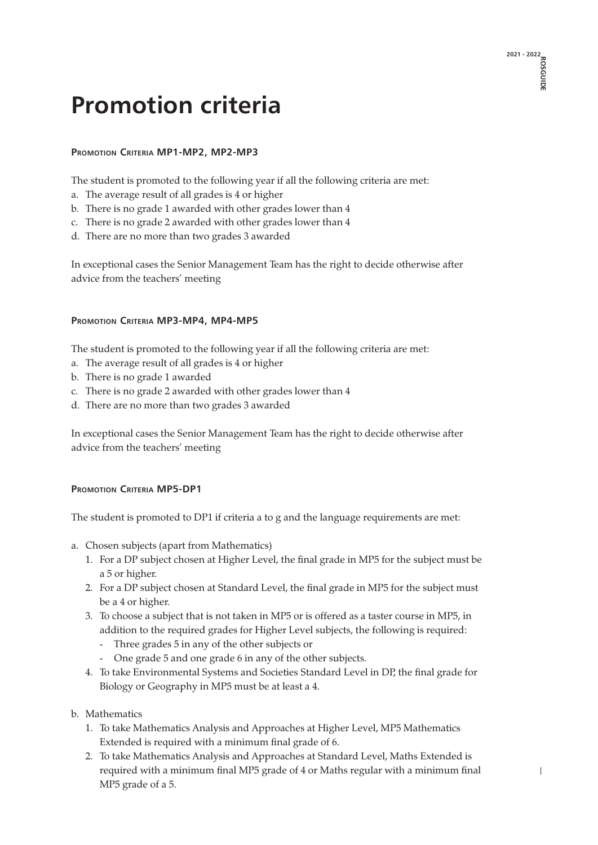# **Promotion criteria**

## **Promotion Criteria MP1-MP2, MP2-MP3**

The student is promoted to the following year if all the following criteria are met:

- a. The average result of all grades is 4 or higher
- b. There is no grade 1 awarded with other grades lower than 4
- c. There is no grade 2 awarded with other grades lower than 4
- d. There are no more than two grades 3 awarded

In exceptional cases the Senior Management Team has the right to decide otherwise after advice from the teachers' meeting

#### **Promotion Criteria MP3-MP4, MP4-MP5**

The student is promoted to the following year if all the following criteria are met:

- a. The average result of all grades is 4 or higher
- b. There is no grade 1 awarded
- c. There is no grade 2 awarded with other grades lower than 4
- d. There are no more than two grades 3 awarded

In exceptional cases the Senior Management Team has the right to decide otherwise after advice from the teachers' meeting

#### **PROMOTION CRITERIA MP5-DP1**

The student is promoted to DP1 if criteria a to g and the language requirements are met:

- a. Chosen subjects (apart from Mathematics)
	- 1. For a DP subject chosen at Higher Level, the final grade in MP5 for the subject must be a 5 or higher.
	- 2. For a DP subject chosen at Standard Level, the final grade in MP5 for the subject must be a 4 or higher.
	- 3. To choose a subject that is not taken in MP5 or is offered as a taster course in MP5, in addition to the required grades for Higher Level subjects, the following is required:
		- Three grades 5 in any of the other subjects or
		- One grade 5 and one grade 6 in any of the other subjects.
	- 4. To take Environmental Systems and Societies Standard Level in DP, the final grade for Biology or Geography in MP5 must be at least a 4.
- b. Mathematics
	- 1. To take Mathematics Analysis and Approaches at Higher Level, MP5 Mathematics Extended is required with a minimum final grade of 6.
	- 2. To take Mathematics Analysis and Approaches at Standard Level, Maths Extended is required with a minimum final MP5 grade of 4 or Maths regular with a minimum final MP5 grade of a 5.

**2021 - 2022 ROSGUIDE**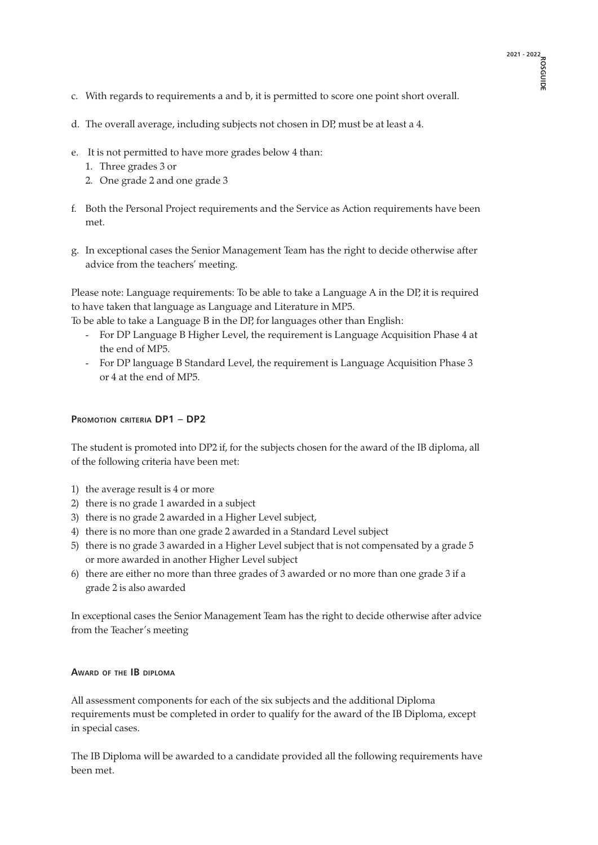- c. With regards to requirements a and b, it is permitted to score one point short overall.
- d. The overall average, including subjects not chosen in DP, must be at least a 4.
- e. It is not permitted to have more grades below 4 than:
	- 1. Three grades 3 or
	- 2. One grade 2 and one grade 3
- f. Both the Personal Project requirements and the Service as Action requirements have been met.
- g. In exceptional cases the Senior Management Team has the right to decide otherwise after advice from the teachers' meeting.

Please note: Language requirements: To be able to take a Language A in the DP, it is required to have taken that language as Language and Literature in MP5.

To be able to take a Language B in the DP, for languages other than English:

- For DP Language B Higher Level, the requirement is Language Acquisition Phase 4 at the end of MP5.
- For DP language B Standard Level, the requirement is Language Acquisition Phase 3 or 4 at the end of MP5.

## **Promotion criteria DP1 – DP2**

The student is promoted into DP2 if, for the subjects chosen for the award of the IB diploma, all of the following criteria have been met:

- 1) the average result is 4 or more
- 2) there is no grade 1 awarded in a subject
- 3) there is no grade 2 awarded in a Higher Level subject,
- 4) there is no more than one grade 2 awarded in a Standard Level subject
- 5) there is no grade 3 awarded in a Higher Level subject that is not compensated by a grade 5 or more awarded in another Higher Level subject
- 6) there are either no more than three grades of 3 awarded or no more than one grade 3 if a grade 2 is also awarded

In exceptional cases the Senior Management Team has the right to decide otherwise after advice from the Teacher's meeting

#### **Award of the IB diploma**

All assessment components for each of the six subjects and the additional Diploma requirements must be completed in order to qualify for the award of the IB Diploma, except in special cases.

The IB Diploma will be awarded to a candidate provided all the following requirements have **2** been met.